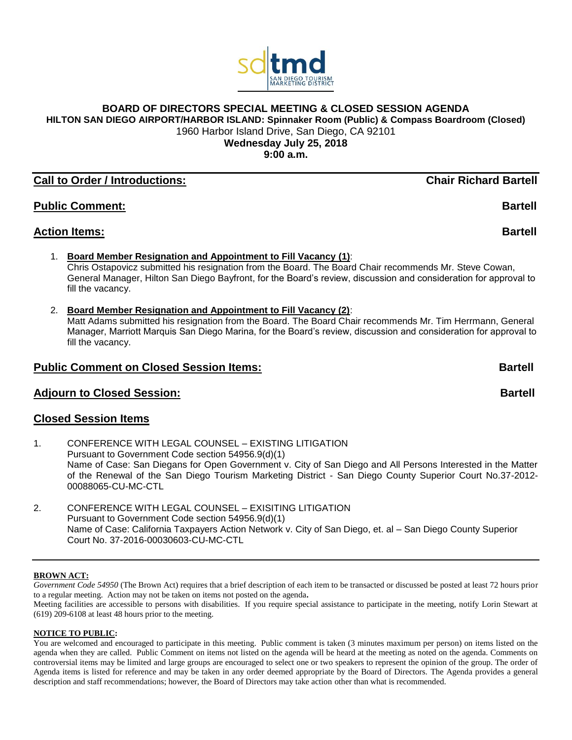

# **BOARD OF DIRECTORS SPECIAL MEETING & CLOSED SESSION AGENDA**

**HILTON SAN DIEGO AIRPORT/HARBOR ISLAND: Spinnaker Room (Public) & Compass Boardroom (Closed)**

1960 Harbor Island Drive, San Diego, CA 92101

**Wednesday July 25, 2018**

**9:00 a.m.**

# **Call to Order / Introductions: Chair Richard Bartell**

**Public Comment: Bartell**

# **Action Items: Bartell**

1. **Board Member Resignation and Appointment to Fill Vacancy (1)**:

Chris Ostapovicz submitted his resignation from the Board. The Board Chair recommends Mr. Steve Cowan, General Manager, Hilton San Diego Bayfront, for the Board's review, discussion and consideration for approval to fill the vacancy.

2. **Board Member Resignation and Appointment to Fill Vacancy (2)**:

Matt Adams submitted his resignation from the Board. The Board Chair recommends Mr. Tim Herrmann, General Manager, Marriott Marquis San Diego Marina, for the Board's review, discussion and consideration for approval to fill the vacancy.

# **Public Comment on Closed Session Items: Bartell**

# **Adjourn to Closed Session:** Bartell

# **Closed Session Items**

1. CONFERENCE WITH LEGAL COUNSEL – EXISTING LITIGATION Pursuant to Government Code section 54956.9(d)(1) Name of Case: San Diegans for Open Government v. City of San Diego and All Persons Interested in the Matter of the Renewal of the San Diego Tourism Marketing District - San Diego County Superior Court No.37-2012- 00088065-CU-MC-CTL

2. CONFERENCE WITH LEGAL COUNSEL – EXISITING LITIGATION Pursuant to Government Code section 54956.9(d)(1) Name of Case: California Taxpayers Action Network v. City of San Diego, et. al – San Diego County Superior Court No. 37-2016-00030603-CU-MC-CTL

## **BROWN ACT:**

*Government Code 54950* (The Brown Act) requires that a brief description of each item to be transacted or discussed be posted at least 72 hours prior to a regular meeting. Action may not be taken on items not posted on the agenda**.**

Meeting facilities are accessible to persons with disabilities. If you require special assistance to participate in the meeting, notify Lorin Stewart at (619) 209-6108 at least 48 hours prior to the meeting.

## **NOTICE TO PUBLIC:**

You are welcomed and encouraged to participate in this meeting. Public comment is taken (3 minutes maximum per person) on items listed on the agenda when they are called. Public Comment on items not listed on the agenda will be heard at the meeting as noted on the agenda. Comments on controversial items may be limited and large groups are encouraged to select one or two speakers to represent the opinion of the group. The order of Agenda items is listed for reference and may be taken in any order deemed appropriate by the Board of Directors. The Agenda provides a general description and staff recommendations; however, the Board of Directors may take action other than what is recommended.